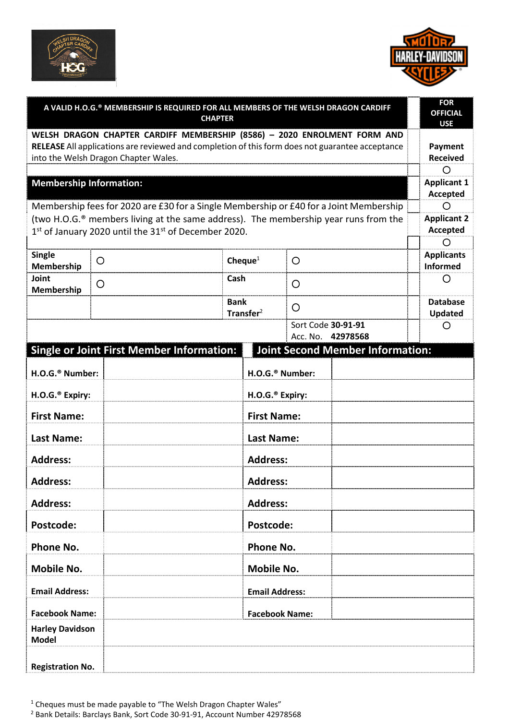



| A VALID H.O.G.® MEMBERSHIP IS REQUIRED FOR ALL MEMBERS OF THE WELSH DRAGON CARDIFF<br><b>CHAPTER</b>                                                                                                                |   |                                                  |                             |                             |                                         |                               |
|---------------------------------------------------------------------------------------------------------------------------------------------------------------------------------------------------------------------|---|--------------------------------------------------|-----------------------------|-----------------------------|-----------------------------------------|-------------------------------|
| WELSH DRAGON CHAPTER CARDIFF MEMBERSHIP (8586) - 2020 ENROLMENT FORM AND<br>RELEASE All applications are reviewed and completion of this form does not guarantee acceptance<br>into the Welsh Dragon Chapter Wales. |   |                                                  |                             |                             |                                         |                               |
| <b>Membership Information:</b>                                                                                                                                                                                      |   |                                                  |                             |                             |                                         |                               |
| Membership fees for 2020 are £30 for a Single Membership or £40 for a Joint Membership                                                                                                                              |   |                                                  |                             |                             |                                         |                               |
| (two H.O.G. <sup>®</sup> members living at the same address). The membership year runs from the<br>1st of January 2020 until the 31st of December 2020.                                                             |   |                                                  |                             |                             |                                         |                               |
| <b>Single</b><br>Membership                                                                                                                                                                                         | O |                                                  | Cheque $1$                  | O                           |                                         | <b>Applicants</b><br>Informed |
| Joint<br>Membership                                                                                                                                                                                                 | O | Cash                                             |                             | O                           |                                         | O                             |
|                                                                                                                                                                                                                     |   | <b>Bank</b>                                      | Transfer <sup>2</sup>       | O                           |                                         | <b>Database</b><br>Updated    |
|                                                                                                                                                                                                                     |   |                                                  |                             |                             | Sort Code 30-91-91<br>Acc. No. 42978568 | O                             |
|                                                                                                                                                                                                                     |   | <b>Single or Joint First Member Information:</b> |                             |                             | <b>Joint Second Member Information:</b> |                               |
| H.O.G. <sup>®</sup> Number:                                                                                                                                                                                         |   |                                                  |                             | H.O.G. <sup>®</sup> Number: |                                         |                               |
| H.O.G. <sup>®</sup> Expiry:                                                                                                                                                                                         |   |                                                  | H.O.G. <sup>®</sup> Expiry: |                             |                                         |                               |
| <b>First Name:</b>                                                                                                                                                                                                  |   |                                                  | <b>First Name:</b>          |                             |                                         |                               |
| <b>Last Name:</b>                                                                                                                                                                                                   |   |                                                  | <b>Last Name:</b>           |                             |                                         |                               |
| <b>Address:</b>                                                                                                                                                                                                     |   |                                                  | <b>Address:</b>             |                             |                                         |                               |
| <b>Address:</b>                                                                                                                                                                                                     |   |                                                  | <b>Address:</b>             |                             |                                         |                               |
| <b>Address:</b>                                                                                                                                                                                                     |   |                                                  | <b>Address:</b>             |                             |                                         |                               |
| Postcode:                                                                                                                                                                                                           |   |                                                  | Postcode:                   |                             |                                         |                               |
| Phone No.                                                                                                                                                                                                           |   |                                                  | <b>Phone No.</b>            |                             |                                         |                               |
| <b>Mobile No.</b>                                                                                                                                                                                                   |   |                                                  | <b>Mobile No.</b>           |                             |                                         |                               |
| <b>Email Address:</b>                                                                                                                                                                                               |   |                                                  | <b>Email Address:</b>       |                             |                                         |                               |
| <b>Facebook Name:</b>                                                                                                                                                                                               |   |                                                  | <b>Facebook Name:</b>       |                             |                                         |                               |
| <b>Harley Davidson</b><br><b>Model</b>                                                                                                                                                                              |   |                                                  |                             |                             |                                         |                               |
| <b>Registration No.</b>                                                                                                                                                                                             |   |                                                  |                             |                             |                                         |                               |

 $1$  Cheques must be made payable to "The Welsh Dragon Chapter Wales"

2 Bank Details: Barclays Bank, Sort Code 30-91-91, Account Number 42978568